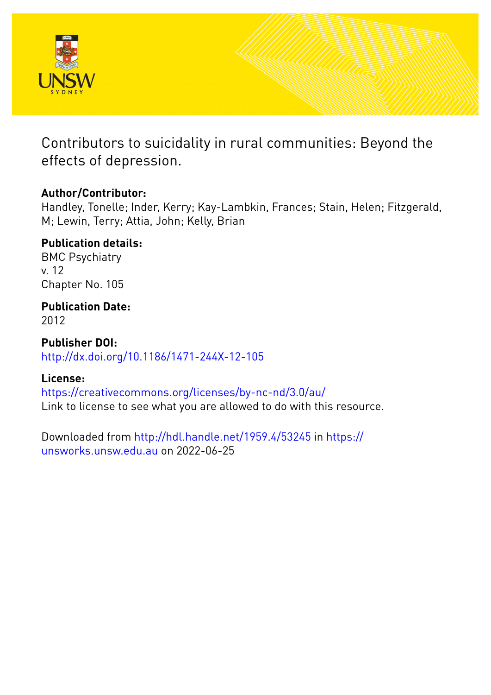

Contributors to suicidality in rural communities: Beyond the effects of depression.

# **Author/Contributor:**

Handley, Tonelle; Inder, Kerry; Kay-Lambkin, Frances; Stain, Helen; Fitzgerald, M; Lewin, Terry; Attia, John; Kelly, Brian

# **Publication details:**

BMC Psychiatry v. 12 Chapter No. 105

**Publication Date:** 2012

**Publisher DOI:** [http://dx.doi.org/10.1186/1471-244X-12-105](http://dx.doi.org/http://dx.doi.org/10.1186/1471-244X-12-105)

# **License:**

<https://creativecommons.org/licenses/by-nc-nd/3.0/au/> Link to license to see what you are allowed to do with this resource.

Downloaded from <http://hdl.handle.net/1959.4/53245> in [https://](https://unsworks.unsw.edu.au) [unsworks.unsw.edu.au](https://unsworks.unsw.edu.au) on 2022-06-25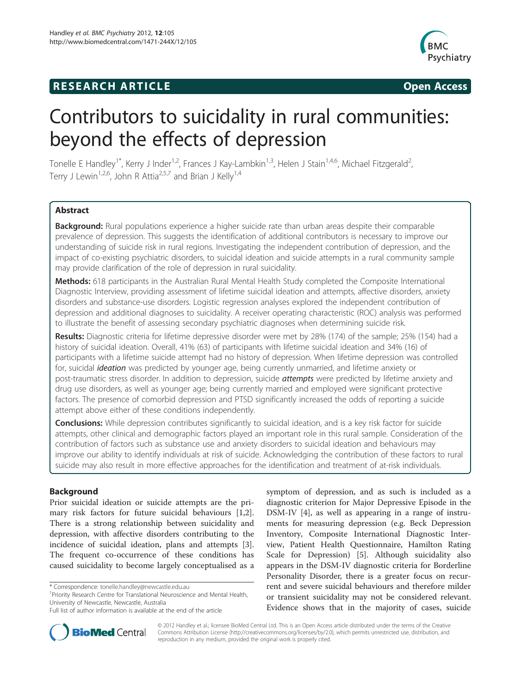# **RESEARCH ARTICLE Example 2014 The SEAR CH ACCESS**



# Contributors to suicidality in rural communities: beyond the effects of depression

Tonelle E Handley<sup>1\*</sup>, Kerry J Inder<sup>1,2</sup>, Frances J Kay-Lambkin<sup>1,3</sup>, Helen J Stain<sup>1,4,6</sup>, Michael Fitzgerald<sup>2</sup>, , Terry J Lewin<sup>1,2,6</sup>, John R Attia<sup>2,5,7</sup> and Brian J Kelly<sup>1,4</sup>

# **Abstract**

Background: Rural populations experience a higher suicide rate than urban areas despite their comparable prevalence of depression. This suggests the identification of additional contributors is necessary to improve our understanding of suicide risk in rural regions. Investigating the independent contribution of depression, and the impact of co-existing psychiatric disorders, to suicidal ideation and suicide attempts in a rural community sample may provide clarification of the role of depression in rural suicidality.

Methods: 618 participants in the Australian Rural Mental Health Study completed the Composite International Diagnostic Interview, providing assessment of lifetime suicidal ideation and attempts, affective disorders, anxiety disorders and substance-use disorders. Logistic regression analyses explored the independent contribution of depression and additional diagnoses to suicidality. A receiver operating characteristic (ROC) analysis was performed to illustrate the benefit of assessing secondary psychiatric diagnoses when determining suicide risk.

Results: Diagnostic criteria for lifetime depressive disorder were met by 28% (174) of the sample; 25% (154) had a history of suicidal ideation. Overall, 41% (63) of participants with lifetime suicidal ideation and 34% (16) of participants with a lifetime suicide attempt had no history of depression. When lifetime depression was controlled for, suicidal *ideation* was predicted by younger age, being currently unmarried, and lifetime anxiety or post-traumatic stress disorder. In addition to depression, suicide attempts were predicted by lifetime anxiety and drug use disorders, as well as younger age; being currently married and employed were significant protective factors. The presence of comorbid depression and PTSD significantly increased the odds of reporting a suicide attempt above either of these conditions independently.

Conclusions: While depression contributes significantly to suicidal ideation, and is a key risk factor for suicide attempts, other clinical and demographic factors played an important role in this rural sample. Consideration of the contribution of factors such as substance use and anxiety disorders to suicidal ideation and behaviours may improve our ability to identify individuals at risk of suicide. Acknowledging the contribution of these factors to rural suicide may also result in more effective approaches for the identification and treatment of at-risk individuals.

# Background

Prior suicidal ideation or suicide attempts are the primary risk factors for future suicidal behaviours [\[1,2](#page-9-0)]. There is a strong relationship between suicidality and depression, with affective disorders contributing to the incidence of suicidal ideation, plans and attempts [\[3](#page-9-0)]. The frequent co-occurrence of these conditions has caused suicidality to become largely conceptualised as a

symptom of depression, and as such is included as a diagnostic criterion for Major Depressive Episode in the DSM-IV [[4\]](#page-9-0), as well as appearing in a range of instruments for measuring depression (e.g. Beck Depression Inventory, Composite International Diagnostic Interview, Patient Health Questionnaire, Hamilton Rating Scale for Depression) [\[5](#page-9-0)]. Although suicidality also appears in the DSM-IV diagnostic criteria for Borderline Personality Disorder, there is a greater focus on recurrent and severe suicidal behaviours and therefore milder or transient suicidality may not be considered relevant. Evidence shows that in the majority of cases, suicide



© 2012 Handley et al.; licensee BioMed Central Ltd. This is an Open Access article distributed under the terms of the Creative Commons Attribution License [\(http://creativecommons.org/licenses/by/2.0\)](http://creativecommons.org/licenses/by/2.0), which permits unrestricted use, distribution, and reproduction in any medium, provided the original work is properly cited.

<sup>\*</sup> Correspondence: [tonelle.handley@newcastle.edu.au](mailto:tonelle.handley@newcastle.edu.au) <sup>1</sup>

<sup>&</sup>lt;sup>1</sup> Priority Research Centre for Translational Neuroscience and Mental Health, University of Newcastle, Newcastle, Australia

Full list of author information is available at the end of the article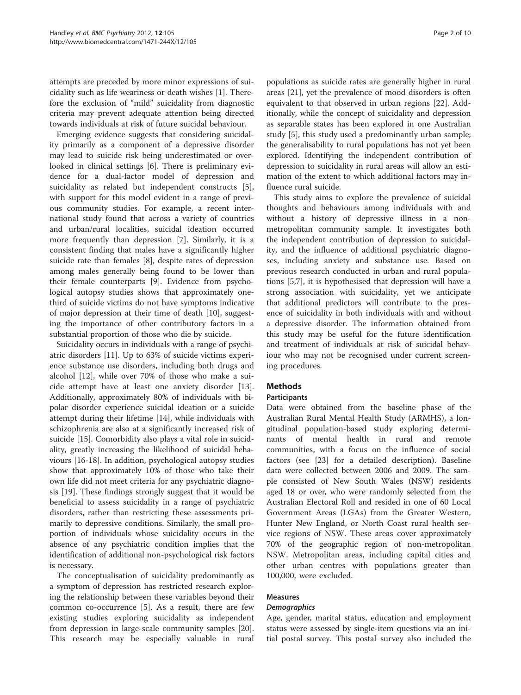attempts are preceded by more minor expressions of suicidality such as life weariness or death wishes [[1](#page-9-0)]. Therefore the exclusion of "mild" suicidality from diagnostic criteria may prevent adequate attention being directed towards individuals at risk of future suicidal behaviour.

Emerging evidence suggests that considering suicidality primarily as a component of a depressive disorder may lead to suicide risk being underestimated or overlooked in clinical settings [\[6](#page-9-0)]. There is preliminary evidence for a dual-factor model of depression and suicidality as related but independent constructs [\[5](#page-9-0)], with support for this model evident in a range of previous community studies. For example, a recent international study found that across a variety of countries and urban/rural localities, suicidal ideation occurred more frequently than depression [\[7](#page-9-0)]. Similarly, it is a consistent finding that males have a significantly higher suicide rate than females [[8](#page-9-0)], despite rates of depression among males generally being found to be lower than their female counterparts [\[9](#page-9-0)]. Evidence from psychological autopsy studies shows that approximately onethird of suicide victims do not have symptoms indicative of major depression at their time of death [[10](#page-9-0)], suggesting the importance of other contributory factors in a substantial proportion of those who die by suicide.

Suicidality occurs in individuals with a range of psychiatric disorders [[11\]](#page-9-0). Up to 63% of suicide victims experience substance use disorders, including both drugs and alcohol [\[12](#page-9-0)], while over 70% of those who make a suicide attempt have at least one anxiety disorder [\[13](#page-9-0)]. Additionally, approximately 80% of individuals with bipolar disorder experience suicidal ideation or a suicide attempt during their lifetime [[14\]](#page-9-0), while individuals with schizophrenia are also at a significantly increased risk of suicide [\[15\]](#page-9-0). Comorbidity also plays a vital role in suicidality, greatly increasing the likelihood of suicidal behaviours [[16-18](#page-9-0)]. In addition, psychological autopsy studies show that approximately 10% of those who take their own life did not meet criteria for any psychiatric diagnosis [\[19](#page-9-0)]. These findings strongly suggest that it would be beneficial to assess suicidality in a range of psychiatric disorders, rather than restricting these assessments primarily to depressive conditions. Similarly, the small proportion of individuals whose suicidality occurs in the absence of any psychiatric condition implies that the identification of additional non-psychological risk factors is necessary.

The conceptualisation of suicidality predominantly as a symptom of depression has restricted research exploring the relationship between these variables beyond their common co-occurrence [\[5\]](#page-9-0). As a result, there are few existing studies exploring suicidality as independent from depression in large-scale community samples [\[20](#page-9-0)]. This research may be especially valuable in rural populations as suicide rates are generally higher in rural areas [[21\]](#page-9-0), yet the prevalence of mood disorders is often equivalent to that observed in urban regions [[22\]](#page-9-0). Additionally, while the concept of suicidality and depression as separable states has been explored in one Australian study [[5\]](#page-9-0), this study used a predominantly urban sample; the generalisability to rural populations has not yet been explored. Identifying the independent contribution of depression to suicidality in rural areas will allow an estimation of the extent to which additional factors may influence rural suicide.

This study aims to explore the prevalence of suicidal thoughts and behaviours among individuals with and without a history of depressive illness in a nonmetropolitan community sample. It investigates both the independent contribution of depression to suicidality, and the influence of additional psychiatric diagnoses, including anxiety and substance use. Based on previous research conducted in urban and rural populations [\[5](#page-9-0),[7](#page-9-0)], it is hypothesised that depression will have a strong association with suicidality, yet we anticipate that additional predictors will contribute to the presence of suicidality in both individuals with and without a depressive disorder. The information obtained from this study may be useful for the future identification and treatment of individuals at risk of suicidal behaviour who may not be recognised under current screening procedures.

# Methods

# **Participants**

Data were obtained from the baseline phase of the Australian Rural Mental Health Study (ARMHS), a longitudinal population-based study exploring determinants of mental health in rural and remote communities, with a focus on the influence of social factors (see [\[23\]](#page-9-0) for a detailed description). Baseline data were collected between 2006 and 2009. The sample consisted of New South Wales (NSW) residents aged 18 or over, who were randomly selected from the Australian Electoral Roll and resided in one of 60 Local Government Areas (LGAs) from the Greater Western, Hunter New England, or North Coast rural health service regions of NSW. These areas cover approximately 70% of the geographic region of non-metropolitan NSW. Metropolitan areas, including capital cities and other urban centres with populations greater than 100,000, were excluded.

# Measures

# Demographics

Age, gender, marital status, education and employment status were assessed by single-item questions via an initial postal survey. This postal survey also included the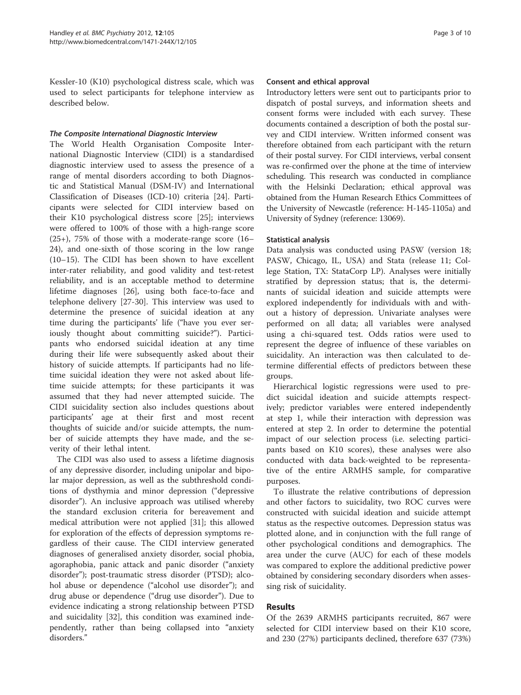Kessler-10 (K10) psychological distress scale, which was used to select participants for telephone interview as described below.

# The Composite International Diagnostic Interview

The World Health Organisation Composite International Diagnostic Interview (CIDI) is a standardised diagnostic interview used to assess the presence of a range of mental disorders according to both Diagnostic and Statistical Manual (DSM-IV) and International Classification of Diseases (ICD-10) criteria [\[24](#page-10-0)]. Participants were selected for CIDI interview based on their K10 psychological distress score [\[25](#page-10-0)]; interviews were offered to 100% of those with a high-range score (25+), 75% of those with a moderate-range score (16– 24), and one-sixth of those scoring in the low range (10–15). The CIDI has been shown to have excellent inter-rater reliability, and good validity and test-retest reliability, and is an acceptable method to determine lifetime diagnoses [\[26\]](#page-10-0), using both face-to-face and telephone delivery [[27-30\]](#page-10-0). This interview was used to determine the presence of suicidal ideation at any time during the participants' life ("have you ever seriously thought about committing suicide?"). Participants who endorsed suicidal ideation at any time during their life were subsequently asked about their history of suicide attempts. If participants had no lifetime suicidal ideation they were not asked about lifetime suicide attempts; for these participants it was assumed that they had never attempted suicide. The CIDI suicidality section also includes questions about participants' age at their first and most recent thoughts of suicide and/or suicide attempts, the number of suicide attempts they have made, and the severity of their lethal intent.

The CIDI was also used to assess a lifetime diagnosis of any depressive disorder, including unipolar and bipolar major depression, as well as the subthreshold conditions of dysthymia and minor depression ("depressive disorder"). An inclusive approach was utilised whereby the standard exclusion criteria for bereavement and medical attribution were not applied [\[31](#page-10-0)]; this allowed for exploration of the effects of depression symptoms regardless of their cause. The CIDI interview generated diagnoses of generalised anxiety disorder, social phobia, agoraphobia, panic attack and panic disorder ("anxiety disorder"); post-traumatic stress disorder (PTSD); alcohol abuse or dependence ("alcohol use disorder"); and drug abuse or dependence ("drug use disorder"). Due to evidence indicating a strong relationship between PTSD and suicidality [\[32](#page-10-0)], this condition was examined independently, rather than being collapsed into "anxiety disorders."

## Consent and ethical approval

Introductory letters were sent out to participants prior to dispatch of postal surveys, and information sheets and consent forms were included with each survey. These documents contained a description of both the postal survey and CIDI interview. Written informed consent was therefore obtained from each participant with the return of their postal survey. For CIDI interviews, verbal consent was re-confirmed over the phone at the time of interview scheduling. This research was conducted in compliance with the Helsinki Declaration; ethical approval was obtained from the Human Research Ethics Committees of the University of Newcastle (reference: H-145-1105a) and University of Sydney (reference: 13069).

# Statistical analysis

Data analysis was conducted using PASW (version 18; PASW, Chicago, IL, USA) and Stata (release 11; College Station, TX: StataCorp LP). Analyses were initially stratified by depression status; that is, the determinants of suicidal ideation and suicide attempts were explored independently for individuals with and without a history of depression. Univariate analyses were performed on all data; all variables were analysed using a chi-squared test. Odds ratios were used to represent the degree of influence of these variables on suicidality. An interaction was then calculated to determine differential effects of predictors between these groups.

Hierarchical logistic regressions were used to predict suicidal ideation and suicide attempts respectively; predictor variables were entered independently at step 1, while their interaction with depression was entered at step 2. In order to determine the potential impact of our selection process (i.e. selecting participants based on K10 scores), these analyses were also conducted with data back-weighted to be representative of the entire ARMHS sample, for comparative purposes.

To illustrate the relative contributions of depression and other factors to suicidality, two ROC curves were constructed with suicidal ideation and suicide attempt status as the respective outcomes. Depression status was plotted alone, and in conjunction with the full range of other psychological conditions and demographics. The area under the curve (AUC) for each of these models was compared to explore the additional predictive power obtained by considering secondary disorders when assessing risk of suicidality.

# Results

Of the 2639 ARMHS participants recruited, 867 were selected for CIDI interview based on their K10 score, and 230 (27%) participants declined, therefore 637 (73%)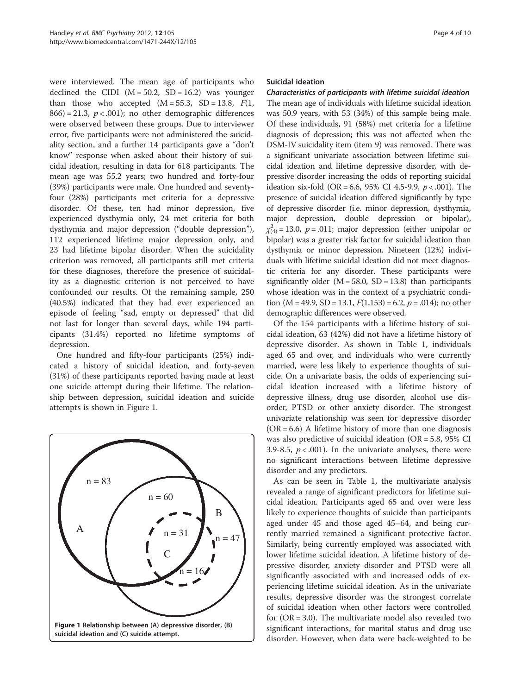were interviewed. The mean age of participants who declined the CIDI  $(M = 50.2, SD = 16.2)$  was younger than those who accepted  $(M = 55.3, SD = 13.8, F(1,$  $866$  = 21.3,  $p < .001$ ); no other demographic differences were observed between these groups. Due to interviewer error, five participants were not administered the suicidality section, and a further 14 participants gave a "don't know" response when asked about their history of suicidal ideation, resulting in data for 618 participants. The mean age was 55.2 years; two hundred and forty-four (39%) participants were male. One hundred and seventyfour (28%) participants met criteria for a depressive disorder. Of these, ten had minor depression, five experienced dysthymia only, 24 met criteria for both dysthymia and major depression ("double depression"), 112 experienced lifetime major depression only, and 23 had lifetime bipolar disorder. When the suicidality criterion was removed, all participants still met criteria for these diagnoses, therefore the presence of suicidality as a diagnostic criterion is not perceived to have confounded our results. Of the remaining sample, 250 (40.5%) indicated that they had ever experienced an episode of feeling "sad, empty or depressed" that did not last for longer than several days, while 194 participants (31.4%) reported no lifetime symptoms of depression.

One hundred and fifty-four participants (25%) indicated a history of suicidal ideation, and forty-seven (31%) of these participants reported having made at least one suicide attempt during their lifetime. The relationship between depression, suicidal ideation and suicide attempts is shown in Figure 1.



#### Suicidal ideation

Characteristics of participants with lifetime suicidal ideation The mean age of individuals with lifetime suicidal ideation was 50.9 years, with 53 (34%) of this sample being male. Of these individuals, 91 (58%) met criteria for a lifetime diagnosis of depression; this was not affected when the DSM-IV suicidality item (item 9) was removed. There was a significant univariate association between lifetime suicidal ideation and lifetime depressive disorder, with depressive disorder increasing the odds of reporting suicidal ideation six-fold (OR = 6.6, 95% CI 4.5-9.9,  $p < .001$ ). The presence of suicidal ideation differed significantly by type of depressive disorder (i.e. minor depression, dysthymia, major depression, double depression or bipolar),  $\chi^2_{(4)} = 13.0, p = .011;$  major depression (either unipolar or bipolar) was a greater risk factor for suicidal ideation than dysthymia or minor depression. Nineteen (12%) individuals with lifetime suicidal ideation did not meet diagnostic criteria for any disorder. These participants were significantly older  $(M = 58.0, SD = 13.8)$  than participants whose ideation was in the context of a psychiatric condition (M = 49.9, SD = 13.1,  $F(1,153) = 6.2$ ,  $p = .014$ ); no other demographic differences were observed.

Of the 154 participants with a lifetime history of suicidal ideation, 63 (42%) did not have a lifetime history of depressive disorder. As shown in Table [1,](#page-5-0) individuals aged 65 and over, and individuals who were currently married, were less likely to experience thoughts of suicide. On a univariate basis, the odds of experiencing suicidal ideation increased with a lifetime history of depressive illness, drug use disorder, alcohol use disorder, PTSD or other anxiety disorder. The strongest univariate relationship was seen for depressive disorder  $(OR = 6.6)$  A lifetime history of more than one diagnosis was also predictive of suicidal ideation (OR = 5.8, 95% CI 3.9-8.5,  $p < .001$ ). In the univariate analyses, there were no significant interactions between lifetime depressive disorder and any predictors.

As can be seen in Table [1](#page-5-0), the multivariate analysis revealed a range of significant predictors for lifetime suicidal ideation. Participants aged 65 and over were less likely to experience thoughts of suicide than participants aged under 45 and those aged 45–64, and being currently married remained a significant protective factor. Similarly, being currently employed was associated with lower lifetime suicidal ideation. A lifetime history of depressive disorder, anxiety disorder and PTSD were all significantly associated with and increased odds of experiencing lifetime suicidal ideation. As in the univariate results, depressive disorder was the strongest correlate of suicidal ideation when other factors were controlled for  $(OR = 3.0)$ . The multivariate model also revealed two significant interactions, for marital status and drug use disorder. However, when data were back-weighted to be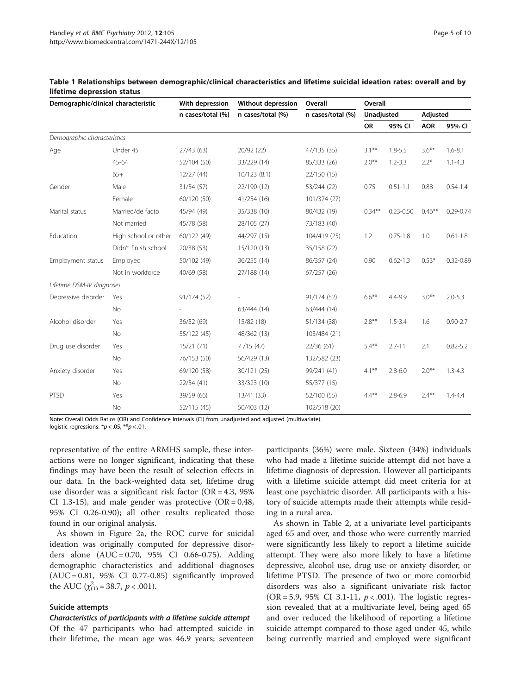| Demographic/clinical characteristic |                      | With depression   | Without depression | Overall           | <b>Overall</b> |               |            |               |
|-------------------------------------|----------------------|-------------------|--------------------|-------------------|----------------|---------------|------------|---------------|
|                                     |                      | n cases/total (%) | n cases/total (%)  | n cases/total (%) | Unadjusted     |               | Adjusted   |               |
|                                     |                      |                   |                    |                   | <b>OR</b>      | 95% CI        | <b>AOR</b> | 95% CI        |
| Demographic characteristics         |                      |                   |                    |                   |                |               |            |               |
| Age                                 | Under 45             | 27/43(63)         | 20/92 (22)         | 47/135 (35)       | $3.1***$       | $1.8 - 5.5$   | $3.6***$   | $1.6 - 8.1$   |
|                                     | 45-64                | 52/104 (50)       | 33/229 (14)        | 85/333 (26)       | $2.0***$       | $1.2 - 3.3$   | $2.2*$     | $1.1 - 4.3$   |
|                                     | $65+$                | 12/27(44)         | 10/123(8.1)        | 22/150 (15)       |                |               |            |               |
| Gender                              | Male                 | 31/54(57)         | 22/190 (12)        | 53/244 (22)       | 0.75           | $0.51 - 1.1$  | 0.88       | $0.54 - 1.4$  |
|                                     | Female               | 60/120 (50)       | 41/254 (16)        | 101/374 (27)      |                |               |            |               |
| Marital status                      | Married/de facto     | 45/94 (49)        | 35/338 (10)        | 80/432 (19)       | $0.34***$      | $0.23 - 0.50$ | $0.46***$  | $0.29 - 0.74$ |
|                                     | Not married          | 45/78 (58)        | 28/105 (27)        | 73/183 (40)       |                |               |            |               |
| Education                           | High school or other | 60/122 (49)       | 44/297 (15)        | 104/419 (25)      | 1.2            | $0.75 - 1.8$  | 1.0        | $0.61 - 1.8$  |
|                                     | Didn't finish school | 20/38 (53)        | 15/120 (13)        | 35/158 (22)       |                |               |            |               |
| Employment status                   | Employed             | 50/102 (49)       | 36/255 (14)        | 86/357 (24)       | 0.90           | $0.62 - 1.3$  | $0.53*$    | $0.32 - 0.89$ |
|                                     | Not in workforce     | 40/69 (58)        | 27/188 (14)        | 67/257 (26)       |                |               |            |               |
| Lifetime DSM-IV diagnoses           |                      |                   |                    |                   |                |               |            |               |
| Depressive disorder                 | Yes                  | 91/174 (52)       |                    | 91/174 (52)       | $6.6***$       | $4.4 - 9.9$   | $3.0***$   | $2.0 - 5.3$   |
|                                     | <b>No</b>            |                   | 63/444 (14)        | 63/444 (14)       |                |               |            |               |
| Alcohol disorder                    | Yes                  | 36/52 (69)        | 15/82 (18)         | 51/134 (38)       | $2.8***$       | $1.5 - 3.4$   | 1.6        | $0.90 - 2.7$  |
|                                     | No                   | 55/122 (45)       | 48/362 (13)        | 103/484 (21)      |                |               |            |               |
| Drug use disorder                   | Yes                  | 15/21(71)         | 7/15(47)           | 22/36 (61)        | $5.4***$       | $2.7 - 11$    | 2.1        | $0.82 - 5.2$  |
|                                     | No                   | 76/153 (50)       | 56/429 (13)        | 132/582 (23)      |                |               |            |               |
| Anxiety disorder                    | Yes                  | 69/120 (58)       | 30/121 (25)        | 99/241 (41)       | $4.1***$       | $2.8 - 6.0$   | $2.0***$   | $1.3 - 4.3$   |
|                                     | No                   | 22/54 (41)        | 33/323 (10)        | 55/377 (15)       |                |               |            |               |
| <b>PTSD</b>                         | Yes                  | 39/59 (66)        | 13/41(33)          | 52/100 (55)       | $4.4***$       | $2.8 - 6.9$   | $2.4***$   | $1.4 - 4.4$   |
|                                     | No                   | 52/115 (45)       | 50/403 (12)        | 102/518 (20)      |                |               |            |               |

<span id="page-5-0"></span>Table 1 Relationships between demographic/clinical characteristics and lifetime suicidal ideation rates: overall and by lifetime depression status

Note: Overall Odds Ratios (OR) and Confidence Intervals (CI) from unadjusted and adjusted (multivariate).

logistic regressions:  $p < .05$ ,  $p \times 01$ .

representative of the entire ARMHS sample, these interactions were no longer significant, indicating that these findings may have been the result of selection effects in our data. In the back-weighted data set, lifetime drug use disorder was a significant risk factor (OR = 4.3, 95% CI 1.3-15), and male gender was protective  $(OR = 0.48,$ 95% CI 0.26-0.90); all other results replicated those found in our original analysis.

As shown in Figure [2a](#page-6-0), the ROC curve for suicidal ideation was originally computed for depressive disorders alone (AUC = 0.70, 95% CI 0.66-0.75). Adding demographic characteristics and additional diagnoses (AUC = 0.81, 95% CI 0.77-0.85) significantly improved the AUC  $(\chi^2_{(1)} = 38.7, p < .001)$ .

#### Suicide attempts

#### Characteristics of participants with a lifetime suicide attempt

Of the 47 participants who had attempted suicide in their lifetime, the mean age was 46.9 years; seventeen

participants (36%) were male. Sixteen (34%) individuals who had made a lifetime suicide attempt did not have a lifetime diagnosis of depression. However all participants with a lifetime suicide attempt did meet criteria for at least one psychiatric disorder. All participants with a history of suicide attempts made their attempts while residing in a rural area.

As shown in Table [2](#page-6-0), at a univariate level participants aged 65 and over, and those who were currently married were significantly less likely to report a lifetime suicide attempt. They were also more likely to have a lifetime depressive, alcohol use, drug use or anxiety disorder, or lifetime PTSD. The presence of two or more comorbid disorders was also a significant univariate risk factor (OR = 5.9, 95% CI 3.1-11,  $p < .001$ ). The logistic regression revealed that at a multivariate level, being aged 65 and over reduced the likelihood of reporting a lifetime suicide attempt compared to those aged under 45, while being currently married and employed were significant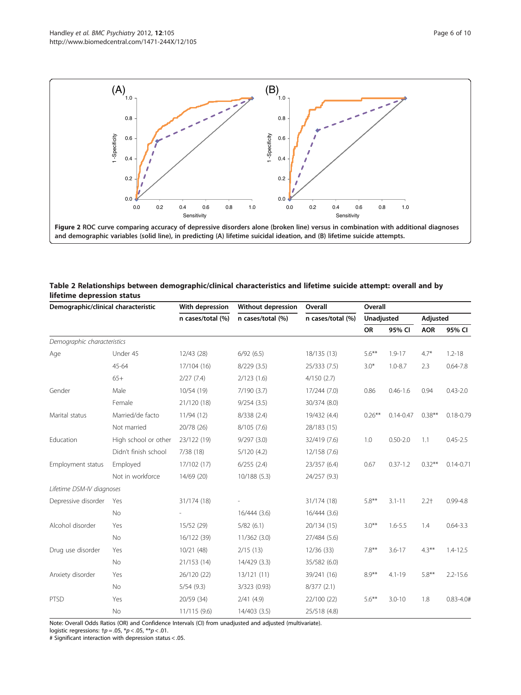<span id="page-6-0"></span>

| Table 2 Relationships between demographic/clinical characteristics and lifetime suicide attempt: overall and by |  |  |  |
|-----------------------------------------------------------------------------------------------------------------|--|--|--|
| lifetime depression status                                                                                      |  |  |  |

| Demographic/clinical characteristic |                      | With depression   | Without depression | Overall           | <b>Overall</b> |               |            |               |
|-------------------------------------|----------------------|-------------------|--------------------|-------------------|----------------|---------------|------------|---------------|
|                                     |                      | n cases/total (%) | n cases/total (%)  | n cases/total (%) | Unadjusted     |               | Adjusted   |               |
|                                     |                      |                   |                    |                   | <b>OR</b>      | 95% CI        | <b>AOR</b> | 95% CI        |
| Demographic characteristics         |                      |                   |                    |                   |                |               |            |               |
| Age                                 | Under 45             | 12/43 (28)        | 6/92(6.5)          | 18/135 (13)       | $5.6***$       | $1.9 - 17$    | $4.7*$     | $1.2 - 18$    |
|                                     | 45-64                | 17/104 (16)       | 8/229(3.5)         | 25/333(7.5)       | $3.0*$         | $1.0 - 8.7$   | 2.3        | $0.64 - 7.8$  |
|                                     | $65+$                | 2/27(7.4)         | 2/123(1.6)         | 4/150(2.7)        |                |               |            |               |
| Gender                              | Male                 | 10/54 (19)        | 7/190(3.7)         | 17/244 (7.0)      | 0.86           | $0.46 - 1.6$  | 0.94       | $0.43 - 2.0$  |
|                                     | Female               | 21/120 (18)       | 9/254(3.5)         | 30/374 (8.0)      |                |               |            |               |
| Marital status                      | Married/de facto     | 11/94(12)         | 8/338 (2.4)        | 19/432 (4.4)      | $0.26***$      | $0.14 - 0.47$ | $0.38***$  | $0.18 - 0.79$ |
|                                     | Not married          | 20/78 (26)        | 8/105 (7.6)        | 28/183 (15)       |                |               |            |               |
| Education                           | High school or other | 23/122 (19)       | 9/297(3.0)         | 32/419 (7.6)      | 1.0            | $0.50 - 2.0$  | 1.1        | $0.45 - 2.5$  |
|                                     | Didn't finish school | 7/38(18)          | 5/120(4.2)         | 12/158 (7.6)      |                |               |            |               |
| Employment status                   | Employed             | 17/102 (17)       | $6/255$ $(2.4)$    | 23/357 (6.4)      | 0.67           | $0.37 - 1.2$  | $0.32***$  | $0.14 - 0.71$ |
|                                     | Not in workforce     | 14/69 (20)        | 10/188 (5.3)       | 24/257 (9.3)      |                |               |            |               |
| Lifetime DSM-IV diagnoses           |                      |                   |                    |                   |                |               |            |               |
| Depressive disorder                 | Yes                  | 31/174 (18)       |                    | 31/174 (18)       | $5.8***$       | $3.1 - 11$    | $2.2 +$    | $0.99 - 4.8$  |
|                                     | <b>No</b>            |                   | 16/444 (3.6)       | 16/444 (3.6)      |                |               |            |               |
| Alcohol disorder                    | Yes                  | 15/52 (29)        | 5/82(6.1)          | 20/134 (15)       | $3.0***$       | $1.6 - 5.5$   | 1.4        | $0.64 - 3.3$  |
|                                     | No                   | 16/122 (39)       | 11/362 (3.0)       | 27/484 (5.6)      |                |               |            |               |
| Drug use disorder                   | Yes                  | 10/21 (48)        | 2/15(13)           | 12/36(33)         | $7.8***$       | $3.6 - 17$    | $4.3***$   | $1.4 - 12.5$  |
|                                     | No                   | 21/153(14)        | 14/429 (3.3)       | 35/582 (6.0)      |                |               |            |               |
| Anxiety disorder                    | Yes                  | 26/120 (22)       | 13/121(11)         | 39/241 (16)       | $8.9**$        | $4.1 - 19$    | $5.8***$   | $2.2 - 15.6$  |
|                                     | <b>No</b>            | 5/54(9.3)         | 3/323 (0.93)       | 8/377(2.1)        |                |               |            |               |
| PTSD                                | Yes                  | 20/59 (34)        | 2/41(4.9)          | 22/100 (22)       | $5.6***$       | $3.0 - 10$    | 1.8        | $0.83 - 4.0#$ |
|                                     | No                   | 11/115 (9.6)      | 14/403 (3.5)       | 25/518 (4.8)      |                |               |            |               |

Note: Overall Odds Ratios (OR) and Confidence Intervals (CI) from unadjusted and adjusted (multivariate).

logistic regressions:  $tp = .05$ ,  $\frac{p}{p} < .05$ ,  $\frac{p}{p} < .01$ .

# Significant interaction with depression status < .05.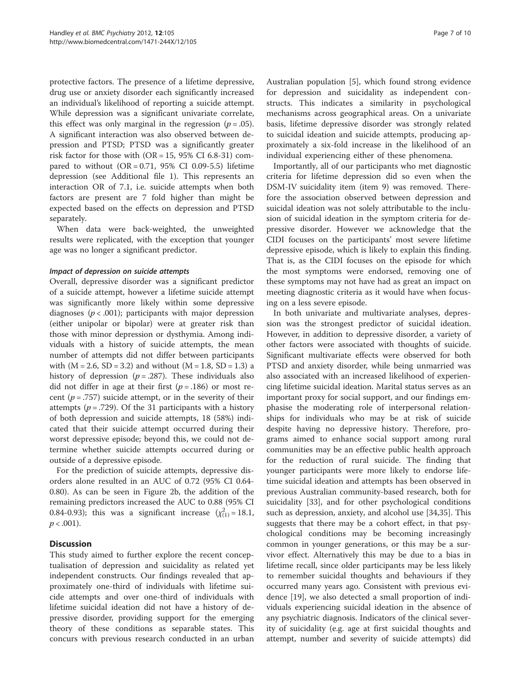protective factors. The presence of a lifetime depressive, drug use or anxiety disorder each significantly increased an individual's likelihood of reporting a suicide attempt. While depression was a significant univariate correlate, this effect was only marginal in the regression  $(p=.05)$ . A significant interaction was also observed between depression and PTSD; PTSD was a significantly greater risk factor for those with  $(OR = 15, 95\% \text{ CI } 6.8-31)$  compared to without  $(OR = 0.71, 95\% \text{ CI } 0.09-5.5)$  lifetime depression (see [Additional file 1\)](#page-9-0). This represents an interaction OR of 7.1, i.e. suicide attempts when both factors are present are 7 fold higher than might be expected based on the effects on depression and PTSD separately.

When data were back-weighted, the unweighted results were replicated, with the exception that younger age was no longer a significant predictor.

#### Impact of depression on suicide attempts

Overall, depressive disorder was a significant predictor of a suicide attempt, however a lifetime suicide attempt was significantly more likely within some depressive diagnoses ( $p < .001$ ); participants with major depression (either unipolar or bipolar) were at greater risk than those with minor depression or dysthymia. Among individuals with a history of suicide attempts, the mean number of attempts did not differ between participants with  $(M = 2.6, SD = 3.2)$  and without  $(M = 1.8, SD = 1.3)$  a history of depression ( $p = .287$ ). These individuals also did not differ in age at their first ( $p = .186$ ) or most recent ( $p = .757$ ) suicide attempt, or in the severity of their attempts ( $p = .729$ ). Of the 31 participants with a history of both depression and suicide attempts, 18 (58%) indicated that their suicide attempt occurred during their worst depressive episode; beyond this, we could not determine whether suicide attempts occurred during or outside of a depressive episode.

For the prediction of suicide attempts, depressive disorders alone resulted in an AUC of 0.72 (95% CI 0.64- 0.80). As can be seen in Figure [2b](#page-6-0), the addition of the remaining predictors increased the AUC to 0.88 (95% CI 0.84-0.93); this was a significant increase  $(\chi^2_{(1)} = 18.1,$  $p < .001$ ).

# **Discussion**

This study aimed to further explore the recent conceptualisation of depression and suicidality as related yet independent constructs. Our findings revealed that approximately one-third of individuals with lifetime suicide attempts and over one-third of individuals with lifetime suicidal ideation did not have a history of depressive disorder, providing support for the emerging theory of these conditions as separable states. This concurs with previous research conducted in an urban

Australian population [\[5](#page-9-0)], which found strong evidence for depression and suicidality as independent constructs. This indicates a similarity in psychological mechanisms across geographical areas. On a univariate basis, lifetime depressive disorder was strongly related to suicidal ideation and suicide attempts, producing approximately a six-fold increase in the likelihood of an individual experiencing either of these phenomena.

Importantly, all of our participants who met diagnostic criteria for lifetime depression did so even when the DSM-IV suicidality item (item 9) was removed. Therefore the association observed between depression and suicidal ideation was not solely attributable to the inclusion of suicidal ideation in the symptom criteria for depressive disorder. However we acknowledge that the CIDI focuses on the participants' most severe lifetime depressive episode, which is likely to explain this finding. That is, as the CIDI focuses on the episode for which the most symptoms were endorsed, removing one of these symptoms may not have had as great an impact on meeting diagnostic criteria as it would have when focusing on a less severe episode.

In both univariate and multivariate analyses, depression was the strongest predictor of suicidal ideation. However, in addition to depressive disorder, a variety of other factors were associated with thoughts of suicide. Significant multivariate effects were observed for both PTSD and anxiety disorder, while being unmarried was also associated with an increased likelihood of experiencing lifetime suicidal ideation. Marital status serves as an important proxy for social support, and our findings emphasise the moderating role of interpersonal relationships for individuals who may be at risk of suicide despite having no depressive history. Therefore, programs aimed to enhance social support among rural communities may be an effective public health approach for the reduction of rural suicide. The finding that younger participants were more likely to endorse lifetime suicidal ideation and attempts has been observed in previous Australian community-based research, both for suicidality [[33](#page-10-0)], and for other psychological conditions such as depression, anxiety, and alcohol use [\[34,35](#page-10-0)]. This suggests that there may be a cohort effect, in that psychological conditions may be becoming increasingly common in younger generations, or this may be a survivor effect. Alternatively this may be due to a bias in lifetime recall, since older participants may be less likely to remember suicidal thoughts and behaviours if they occurred many years ago. Consistent with previous evidence [\[19](#page-9-0)], we also detected a small proportion of individuals experiencing suicidal ideation in the absence of any psychiatric diagnosis. Indicators of the clinical severity of suicidality (e.g. age at first suicidal thoughts and attempt, number and severity of suicide attempts) did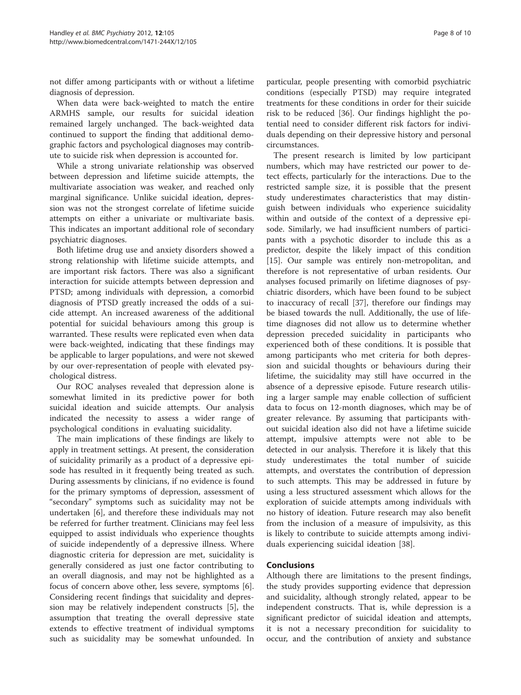not differ among participants with or without a lifetime diagnosis of depression.

When data were back-weighted to match the entire ARMHS sample, our results for suicidal ideation remained largely unchanged. The back-weighted data continued to support the finding that additional demographic factors and psychological diagnoses may contribute to suicide risk when depression is accounted for.

While a strong univariate relationship was observed between depression and lifetime suicide attempts, the multivariate association was weaker, and reached only marginal significance. Unlike suicidal ideation, depression was not the strongest correlate of lifetime suicide attempts on either a univariate or multivariate basis. This indicates an important additional role of secondary psychiatric diagnoses.

Both lifetime drug use and anxiety disorders showed a strong relationship with lifetime suicide attempts, and are important risk factors. There was also a significant interaction for suicide attempts between depression and PTSD; among individuals with depression, a comorbid diagnosis of PTSD greatly increased the odds of a suicide attempt. An increased awareness of the additional potential for suicidal behaviours among this group is warranted. These results were replicated even when data were back-weighted, indicating that these findings may be applicable to larger populations, and were not skewed by our over-representation of people with elevated psychological distress.

Our ROC analyses revealed that depression alone is somewhat limited in its predictive power for both suicidal ideation and suicide attempts. Our analysis indicated the necessity to assess a wider range of psychological conditions in evaluating suicidality.

The main implications of these findings are likely to apply in treatment settings. At present, the consideration of suicidality primarily as a product of a depressive episode has resulted in it frequently being treated as such. During assessments by clinicians, if no evidence is found for the primary symptoms of depression, assessment of "secondary" symptoms such as suicidality may not be undertaken [[6\]](#page-9-0), and therefore these individuals may not be referred for further treatment. Clinicians may feel less equipped to assist individuals who experience thoughts of suicide independently of a depressive illness. Where diagnostic criteria for depression are met, suicidality is generally considered as just one factor contributing to an overall diagnosis, and may not be highlighted as a focus of concern above other, less severe, symptoms [\[6](#page-9-0)]. Considering recent findings that suicidality and depression may be relatively independent constructs [\[5](#page-9-0)], the assumption that treating the overall depressive state extends to effective treatment of individual symptoms such as suicidality may be somewhat unfounded. In

particular, people presenting with comorbid psychiatric conditions (especially PTSD) may require integrated treatments for these conditions in order for their suicide risk to be reduced [\[36\]](#page-10-0). Our findings highlight the potential need to consider different risk factors for individuals depending on their depressive history and personal circumstances.

The present research is limited by low participant numbers, which may have restricted our power to detect effects, particularly for the interactions. Due to the restricted sample size, it is possible that the present study underestimates characteristics that may distinguish between individuals who experience suicidality within and outside of the context of a depressive episode. Similarly, we had insufficient numbers of participants with a psychotic disorder to include this as a predictor, despite the likely impact of this condition [[15\]](#page-9-0). Our sample was entirely non-metropolitan, and therefore is not representative of urban residents. Our analyses focused primarily on lifetime diagnoses of psychiatric disorders, which have been found to be subject to inaccuracy of recall [\[37\]](#page-10-0), therefore our findings may be biased towards the null. Additionally, the use of lifetime diagnoses did not allow us to determine whether depression preceded suicidality in participants who experienced both of these conditions. It is possible that among participants who met criteria for both depression and suicidal thoughts or behaviours during their lifetime, the suicidality may still have occurred in the absence of a depressive episode. Future research utilising a larger sample may enable collection of sufficient data to focus on 12-month diagnoses, which may be of greater relevance. By assuming that participants without suicidal ideation also did not have a lifetime suicide attempt, impulsive attempts were not able to be detected in our analysis. Therefore it is likely that this study underestimates the total number of suicide attempts, and overstates the contribution of depression to such attempts. This may be addressed in future by using a less structured assessment which allows for the exploration of suicide attempts among individuals with no history of ideation. Future research may also benefit from the inclusion of a measure of impulsivity, as this is likely to contribute to suicide attempts among individuals experiencing suicidal ideation [\[38](#page-10-0)].

### Conclusions

Although there are limitations to the present findings, the study provides supporting evidence that depression and suicidality, although strongly related, appear to be independent constructs. That is, while depression is a significant predictor of suicidal ideation and attempts, it is not a necessary precondition for suicidality to occur, and the contribution of anxiety and substance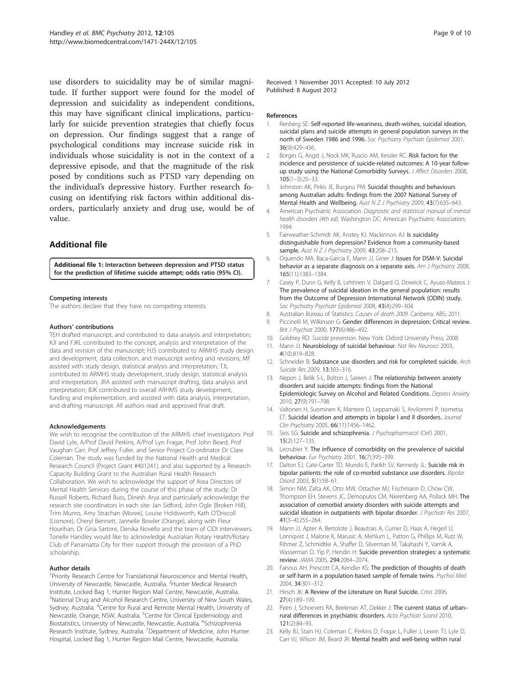<span id="page-9-0"></span>use disorders to suicidality may be of similar magnitude. If further support were found for the model of depression and suicidality as independent conditions, this may have significant clinical implications, particularly for suicide prevention strategies that chiefly focus on depression. Our findings suggest that a range of psychological conditions may increase suicide risk in individuals whose suicidality is not in the context of a depressive episode, and that the magnitude of the risk posed by conditions such as PTSD vary depending on the individual's depressive history. Further research focusing on identifying risk factors within additional disorders, particularly anxiety and drug use, would be of value.

# Additional file

[Additional file 1:](http://www.biomedcentral.com/content/supplementary/1471-244X-12-105-S1.doc) Interaction between depression and PTSD status for the prediction of lifetime suicide attempt; odds ratio (95% CI).

#### Competing interests

The authors declare that they have no competing interests.

#### Authors' contributions

TEH drafted manuscript, and contributed to data analysis and interpretation; KJI and FJKL contributed to the concept, analysis and interpretation of the data and revision of the manuscript; HJS contributed to ARMHS study design and development, data collection, and manuscript writing and revisions; MF assisted with study design, statistical analysis and interpretation; TJL contributed to ARMHS study development, study design, statistical analysis and interpretation; JRA assisted with manuscript drafting, data analysis and interpretation; BJK contributed to overall ARHMS study development, funding and implementation, and assisted with data analysis, interpretation, and drafting manuscript. All authors read and approved final draft.

#### Acknowledgements

We wish to recognise the contribution of the ARMHS chief investigators: Prof David Lyle, A/Prof David Perkins, A/Prof Lyn Fragar, Prof John Beard, Prof Vaughan Carr, Prof Jeffrey Fuller, and Senior Project Co-ordinator Dr Clare Coleman. The study was funded by the National Health and Medical Research Council (Project Grant #401241), and also supported by a Research Capacity Building Grant to the Australian Rural Health Research Collaboration. We wish to acknowledge the support of Area Directors of Mental Health Services during the course of this phase of the study: Dr Russell Roberts, Richard Buss, Dinesh Arya and particularly acknowledge the research site coordinators in each site: Jan Sidford, John Ogle (Broken Hill), Trim Munro, Amy Strachan (Moree), Louise Holdsworth, Kath O'Driscoll (Lismore), Cheryl Bennett, Jannelle Bowler (Orange), along with Fleur Hourihan, Dr Gina Sartore, Denika Novello and the team of CIDI interviewers. Tonelle Handley would like to acknowledge Australian Rotary Health/Rotary Club of Parramatta City for their support through the provision of a PhD scholarship.

#### Author details

<sup>1</sup> Priority Research Centre for Translational Neuroscience and Mental Health, University of Newcastle, Newcastle, Australia. <sup>2</sup>Hunter Medical Research Institute, Locked Bag 1, Hunter Region Mail Centre, Newcastle, Australia. <sup>3</sup>National Drug and Alcohol Research Centre, University of New South Wales, Sydney, Australia. <sup>4</sup>Centre for Rural and Remote Mental Health, University of Newcastle, Orange, NSW, Australia. <sup>5</sup>Centre for Clinical Epidemiology and Biostatistics, University of Newcastle, Newcastle, Australia. <sup>6</sup>Schizophrenia Research Institute, Sydney, Australia. <sup>7</sup>Department of Medicine, John Hunter Hospital, Locked Bag 1, Hunter Region Mail Centre, Newcastle, Australia.

Received: 1 November 2011 Accepted: 10 July 2012 Published: 8 August 2012

#### References

- 1. Renberg SE: Self-reported life-weariness, death-wishes, suicidal ideation, suicidal plans and suicide attempts in general population surveys in the north of Sweden 1986 and 1996. Soc Psychiatry Psychiatr Epidemiol 2001, 36(9):429–436.
- 2. Borges G, Angst J, Nock MK, Ruscio AM, Kessler RC: Risk factors for the incidence and persistence of suicide-related outcomes: A 10-year followup study using the National Comorbidity Surveys. J Affect Disorders 2008, 105(1–3):25–33.
- 3. Johnston AK, Pirkis JE, Burgess PM: Suicidal thoughts and behaviours among Australian adults: findings from the 2007 National Survey of Mental Health and Wellbeing. Aust N Z J Psychiatry 2009, 43(7):635-643.
- American Psychiatric Association: Diagnostic and statistical manual of mental health disorders (4th ed). Washington DC: American Psychiatric Association; 1994.
- 5. Fairweather-Schmidt AK, Anstey KJ, Mackinnon AJ: Is suicidality distinguishable from depression? Evidence from a community-based sample. Aust N Z J Psychiatry 2009, 43:208-215.
- 6. Oquendo MA, Baca-Garcia E, Mann JJ, Giner J: Issues for DSM-V: Suicidal behavior as a separate diagnosis on a separate axis. Am J Psychiatry 2008, 165(11):1383–1384.
- 7. Casey P, Dunn G, Kelly B, Lehtinen V, Dalgard O, Dowrick C, Ayuso-Mateos J: The prevalence of suicidal ideation in the general population: results from the Outcome of Depression International Network (ODIN) study. Soc Psychiatry Psychiatr Epidemiol 2008, 43(4):299–304.
- 8. Australian Bureau of Statistics: Causes of death 2009. Canberra: ABS; 2011.
- Piccinelli M, Wilkinson G: Gender differences in depression: Critical review. Brit J Psychiat 2000, 177(6):486–492.
- 10. Goldney RD: Suicide prevention. New York: Oxford University Press; 2008.
- 11. Mann JJ: Neurobiology of suicidal behaviour. Nat Rev Neurosci 2003, 4(10):819–828.
- 12. Schneider B: Substance use disorders and risk for completed suicide. Arch Suicide Res 2009, 13:303-316.
- 13. Nepon J, Belik S-L, Bolton J, Sareen J: The relationship between anxiety disorders and suicide attempts: findings from the National Epidemiologic Survey on Alcohol and Related Conditions. Depress Anxiety 2010, 27(9):791–798.
- 14. Valtonen H, Suominen K, Mantere O, Leppamaki S, Arvilommi P, Isometsa ET: Suicidal ideation and attempts in bipolar I and II disorders. Journal Clin Psychiatry 2005, 66(11):1456–1462.
- 15. Siris SG: Suicide and schizophrenia. J Psychopharmacol (Oxf) 2001, 15(2):127–135.
- 16. Lecrubier Y: The influence of comorbidity on the prevalence of suicidal behaviour. Eur Psychiatry 2001, 16(7):395–399.
- 17. Dalton EJ, Cate-Carter TD, Mundo E, Parikh SV, Kennedy JL: Suicide risk in bipolar patients: the role of co-morbid substance use disorders. Bipolar Disord 2003, 5(1):58–61.
- 18. Simon NM, Zalta AK, Otto MW, Ostacher MJ, Fischmann D, Chow CW, Thompson EH, Stevens JC, Demopulos CM, Nierenberg AA, Pollack MH: The association of comorbid anxiety disorders with suicide attempts and suicidal ideation in outpatients with bipolar disorder. J Psychiatr Res 2007, 41(3–4):255–264.
- 19. Mann JJ, Apter A, Bertolote J, Beautrais A, Currier D, Haas A, Hegerl U, Lonnqvist J, Malone K, Marusic A, Mehlum L, Patton G, Phillips M, Rutz W, Rihmer Z, Schmidtke A, Shaffer D, Silverman M, Takahashi Y, Varnik A, Wasserman D, Yip P, Hendin H: Suicide prevention strategies: a systematic review. JAMA 2005, 294:2064–2074.
- 20. Fanous AH, Prescott CA, Kendler KS: The prediction of thoughts of death or self-harm in a population-based sample of female twins. Psychol Med 2004, 34:301–312.
- 21. Hirsch JK: A Review of the Literature on Rural Suicide. Crisis 2006. 27(4):189–199.
- 22. Peen J, Schoevers RA, Beekman AT, Dekker J: The current status of urbanrural differences in psychiatric disorders. Acta Psychiatr Scand 2010, 121(2):84–93.
- 23. Kelly BJ, Stain HJ, Coleman C, Perkins D, Fragar L, Fuller J, Lewin TJ, Lyle D, Carr VJ, Wilson JM, Beard JR: Mental health and well-being within rural